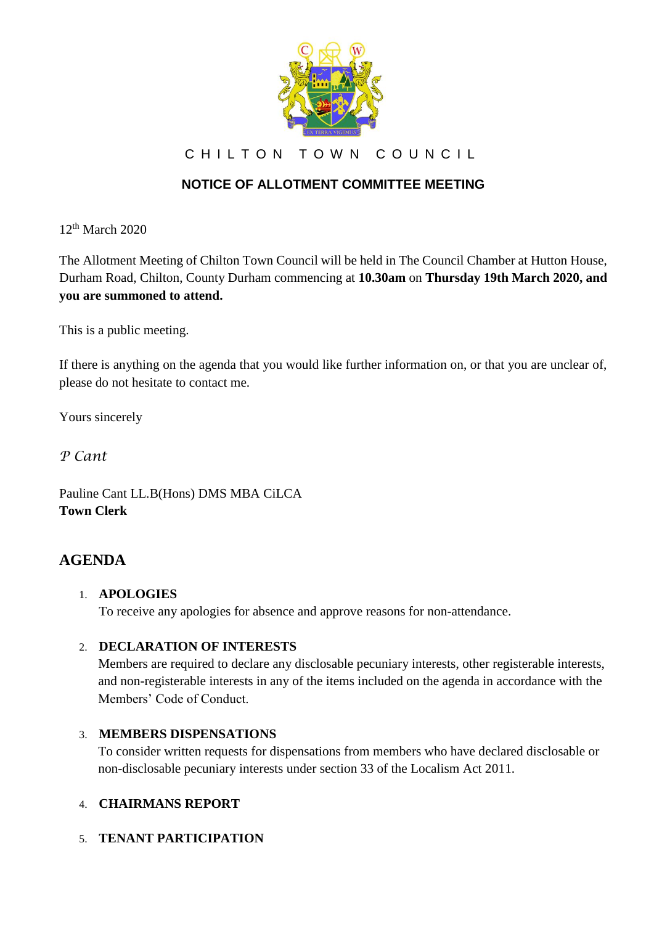

CHILTON TOWN COUNCIL

# **NOTICE OF ALLOTMENT COMMITTEE MEETING**

 $12<sup>th</sup>$  March 2020

The Allotment Meeting of Chilton Town Council will be held in The Council Chamber at Hutton House, Durham Road, Chilton, County Durham commencing at **10.30am** on **Thursday 19th March 2020, and you are summoned to attend.**

This is a public meeting.

If there is anything on the agenda that you would like further information on, or that you are unclear of, please do not hesitate to contact me.

Yours sincerely

*P Cant*

Pauline Cant LL.B(Hons) DMS MBA CiLCA **Town Clerk**

## **AGENDA**

#### 1. **APOLOGIES**

To receive any apologies for absence and approve reasons for non-attendance.

#### 2. **DECLARATION OF INTERESTS**

Members are required to declare any disclosable pecuniary interests, other registerable interests, and non-registerable interests in any of the items included on the agenda in accordance with the Members' Code of Conduct.

### 3. **MEMBERS DISPENSATIONS**

To consider written requests for dispensations from members who have declared disclosable or non-disclosable pecuniary interests under section 33 of the Localism Act 2011.

### 4. **CHAIRMANS REPORT**

### 5. **TENANT PARTICIPATION**